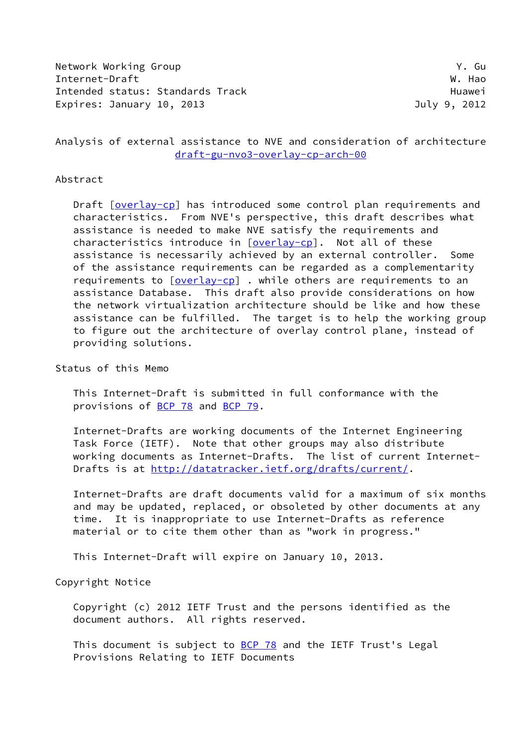Network Working Group **Y. Guara** Internet-Draft W. Hao Intended status: Standards Track **Example 2018** Huawei Expires: January 10, 2013 **Internal Contract Contract Contract Contract Contract Contract Contract Contract Contract Contract Contract Contract Contract Contract Contract Contract Contract Contract Contract Contract Contra** 

Analysis of external assistance to NVE and consideration of architecture [draft-gu-nvo3-overlay-cp-arch-00](https://datatracker.ietf.org/doc/pdf/draft-gu-nvo3-overlay-cp-arch-00)

### Abstract

Draft [[overlay-cp\]](#page-15-0) has introduced some control plan requirements and characteristics. From NVE's perspective, this draft describes what assistance is needed to make NVE satisfy the requirements and characteristics introduce in [\[overlay-cp\]](#page-15-0). Not all of these assistance is necessarily achieved by an external controller. Some of the assistance requirements can be regarded as a complementarity requirements to  $\sqrt{|\text{overlap}|}$ . while others are requirements to an assistance Database. This draft also provide considerations on how the network virtualization architecture should be like and how these assistance can be fulfilled. The target is to help the working group to figure out the architecture of overlay control plane, instead of providing solutions.

Status of this Memo

 This Internet-Draft is submitted in full conformance with the provisions of [BCP 78](https://datatracker.ietf.org/doc/pdf/bcp78) and [BCP 79](https://datatracker.ietf.org/doc/pdf/bcp79).

 Internet-Drafts are working documents of the Internet Engineering Task Force (IETF). Note that other groups may also distribute working documents as Internet-Drafts. The list of current Internet Drafts is at<http://datatracker.ietf.org/drafts/current/>.

 Internet-Drafts are draft documents valid for a maximum of six months and may be updated, replaced, or obsoleted by other documents at any time. It is inappropriate to use Internet-Drafts as reference material or to cite them other than as "work in progress."

This Internet-Draft will expire on January 10, 2013.

Copyright Notice

 Copyright (c) 2012 IETF Trust and the persons identified as the document authors. All rights reserved.

This document is subject to [BCP 78](https://datatracker.ietf.org/doc/pdf/bcp78) and the IETF Trust's Legal Provisions Relating to IETF Documents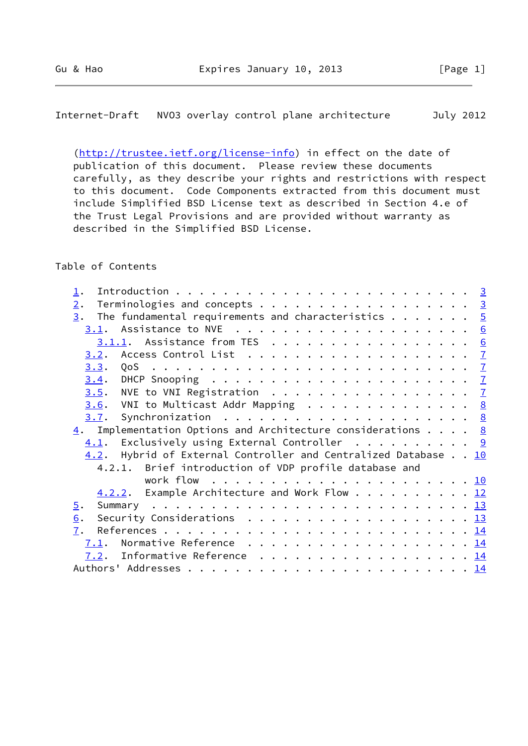Internet-Draft NVO3 overlay control plane architecture July 2012

 [\(http://trustee.ietf.org/license-info](http://trustee.ietf.org/license-info)) in effect on the date of publication of this document. Please review these documents carefully, as they describe your rights and restrictions with respect to this document. Code Components extracted from this document must include Simplified BSD License text as described in Section 4.e of the Trust Legal Provisions and are provided without warranty as described in the Simplified BSD License.

## Table of Contents

| $\perp$ .                                                                                     |  |
|-----------------------------------------------------------------------------------------------|--|
| Terminologies and concepts 3<br>$\overline{2}$ .                                              |  |
| The fundamental requirements and characteristics $\cdots$ $\cdots$ $\frac{5}{2}$<br>3.        |  |
|                                                                                               |  |
| $3.1.1$ . Assistance from TES 6                                                               |  |
| <u>3.2</u> . Access Control List $\ldots \ldots \ldots \ldots \ldots \ldots \ldots$           |  |
| 3.3.                                                                                          |  |
| DHCP Snooping $\ldots \ldots \ldots \ldots \ldots \ldots \ldots \ldots$<br>3.4.               |  |
| NVE to VNI Registration $\ldots \ldots \ldots \ldots \ldots \ldots$<br>3.5.                   |  |
| $\underline{3.6}$ . VNI to Multicast Addr Mapping 8                                           |  |
| 3.7.                                                                                          |  |
| $\underline{4}$ . Implementation Options and Architecture considerations <u>8</u>             |  |
| Exclusively using External Controller $\cdots \cdots \cdots$ 9<br>4.1.                        |  |
| 4.2. Hybrid of External Controller and Centralized Database 10                                |  |
| 4.2.1. Brief introduction of VDP profile database and                                         |  |
|                                                                                               |  |
| 4.2.2. Example Architecture and Work Flow 12                                                  |  |
| 5.                                                                                            |  |
| Security Considerations $\ldots \ldots \ldots \ldots \ldots \ldots \ldots \frac{13}{2}$<br>6. |  |
| 7.                                                                                            |  |
|                                                                                               |  |
| 7.2. Informative Reference 14                                                                 |  |
|                                                                                               |  |
|                                                                                               |  |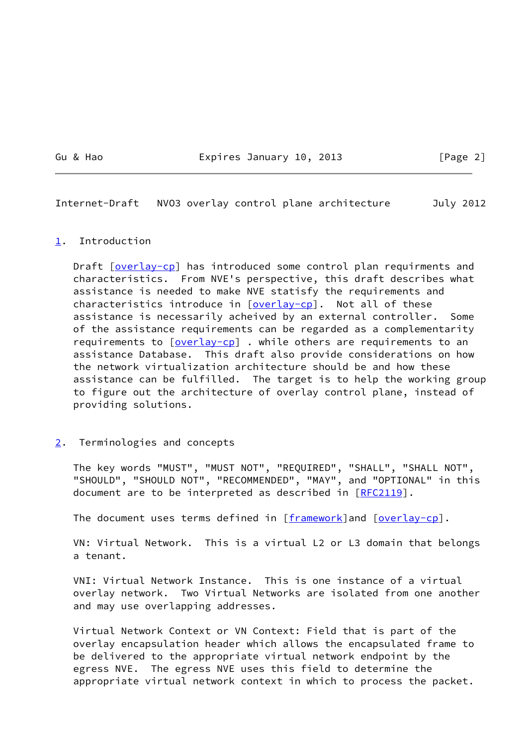Gu & Hao **Expires January 10, 2013** [Page 2]

<span id="page-2-1"></span>Internet-Draft NVO3 overlay control plane architecture July 2012

### <span id="page-2-0"></span>[1](#page-2-0). Introduction

Draft [[overlay-cp\]](#page-15-0) has introduced some control plan requirments and characteristics. From NVE's perspective, this draft describes what assistance is needed to make NVE statisfy the requirements and characteristics introduce in [\[overlay-cp\]](#page-15-0). Not all of these assistance is necessarily acheived by an external controller. Some of the assistance requirements can be regarded as a complementarity requirements to  $\sqrt{|\text{overlap}|}$ . while others are requirements to an assistance Database. This draft also provide considerations on how the network virtualization architecture should be and how these assistance can be fulfilled. The target is to help the working group to figure out the architecture of overlay control plane, instead of providing solutions.

## <span id="page-2-2"></span>[2](#page-2-2). Terminologies and concepts

 The key words "MUST", "MUST NOT", "REQUIRED", "SHALL", "SHALL NOT", "SHOULD", "SHOULD NOT", "RECOMMENDED", "MAY", and "OPTIONAL" in this document are to be interpreted as described in [\[RFC2119](https://datatracker.ietf.org/doc/pdf/rfc2119)].

The document uses terms defined in  $[framework]$  $[framework]$  and  $[overlay-cp]$  $[overlay-cp]$ .

 VN: Virtual Network. This is a virtual L2 or L3 domain that belongs a tenant.

 VNI: Virtual Network Instance. This is one instance of a virtual overlay network. Two Virtual Networks are isolated from one another and may use overlapping addresses.

 Virtual Network Context or VN Context: Field that is part of the overlay encapsulation header which allows the encapsulated frame to be delivered to the appropriate virtual network endpoint by the egress NVE. The egress NVE uses this field to determine the appropriate virtual network context in which to process the packet.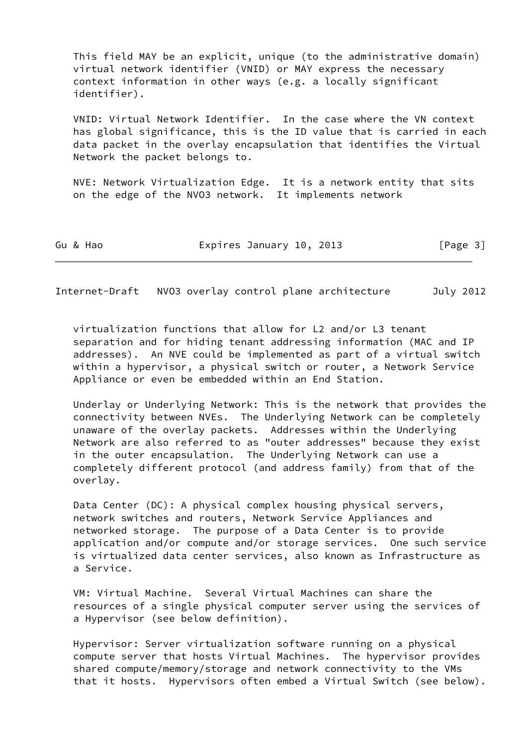This field MAY be an explicit, unique (to the administrative domain) virtual network identifier (VNID) or MAY express the necessary context information in other ways (e.g. a locally significant identifier).

 VNID: Virtual Network Identifier. In the case where the VN context has global significance, this is the ID value that is carried in each data packet in the overlay encapsulation that identifies the Virtual Network the packet belongs to.

 NVE: Network Virtualization Edge. It is a network entity that sits on the edge of the NVO3 network. It implements network

| Expires January 10, 2013<br>Gu & Hao | [Page 3] |
|--------------------------------------|----------|
|--------------------------------------|----------|

Internet-Draft NVO3 overlay control plane architecture July 2012

 virtualization functions that allow for L2 and/or L3 tenant separation and for hiding tenant addressing information (MAC and IP addresses). An NVE could be implemented as part of a virtual switch within a hypervisor, a physical switch or router, a Network Service Appliance or even be embedded within an End Station.

 Underlay or Underlying Network: This is the network that provides the connectivity between NVEs. The Underlying Network can be completely unaware of the overlay packets. Addresses within the Underlying Network are also referred to as "outer addresses" because they exist in the outer encapsulation. The Underlying Network can use a completely different protocol (and address family) from that of the overlay.

 Data Center (DC): A physical complex housing physical servers, network switches and routers, Network Service Appliances and networked storage. The purpose of a Data Center is to provide application and/or compute and/or storage services. One such service is virtualized data center services, also known as Infrastructure as a Service.

 VM: Virtual Machine. Several Virtual Machines can share the resources of a single physical computer server using the services of a Hypervisor (see below definition).

 Hypervisor: Server virtualization software running on a physical compute server that hosts Virtual Machines. The hypervisor provides shared compute/memory/storage and network connectivity to the VMs that it hosts. Hypervisors often embed a Virtual Switch (see below).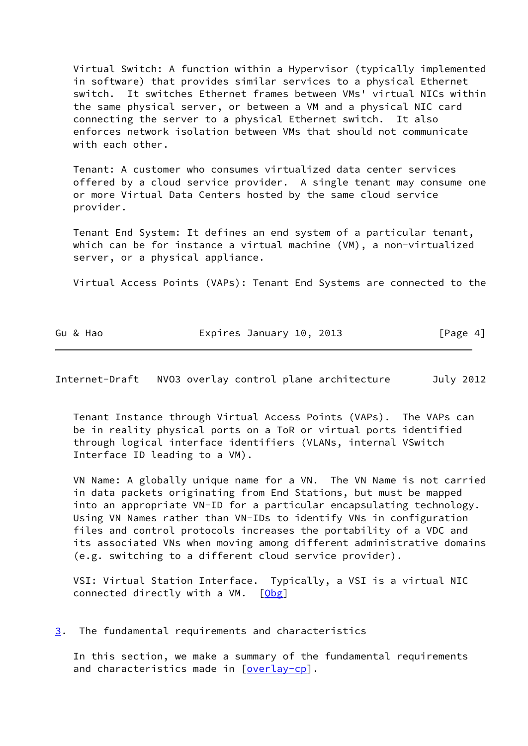Virtual Switch: A function within a Hypervisor (typically implemented in software) that provides similar services to a physical Ethernet switch. It switches Ethernet frames between VMs' virtual NICs within the same physical server, or between a VM and a physical NIC card connecting the server to a physical Ethernet switch. It also enforces network isolation between VMs that should not communicate with each other.

 Tenant: A customer who consumes virtualized data center services offered by a cloud service provider. A single tenant may consume one or more Virtual Data Centers hosted by the same cloud service provider.

 Tenant End System: It defines an end system of a particular tenant, which can be for instance a virtual machine (VM), a non-virtualized server, or a physical appliance.

Virtual Access Points (VAPs): Tenant End Systems are connected to the

| Gu & Hao | Expires January 10, 2013 | [Page 4] |
|----------|--------------------------|----------|
|          |                          |          |

<span id="page-4-1"></span>Internet-Draft NVO3 overlay control plane architecture July 2012

 Tenant Instance through Virtual Access Points (VAPs). The VAPs can be in reality physical ports on a ToR or virtual ports identified through logical interface identifiers (VLANs, internal VSwitch Interface ID leading to a VM).

 VN Name: A globally unique name for a VN. The VN Name is not carried in data packets originating from End Stations, but must be mapped into an appropriate VN-ID for a particular encapsulating technology. Using VN Names rather than VN-IDs to identify VNs in configuration files and control protocols increases the portability of a VDC and its associated VNs when moving among different administrative domains (e.g. switching to a different cloud service provider).

 VSI: Virtual Station Interface. Typically, a VSI is a virtual NIC connected directly with a VM.  $[Qbg]$  $[Qbg]$ 

<span id="page-4-0"></span>[3](#page-4-0). The fundamental requirements and characteristics

 In this section, we make a summary of the fundamental requirements and characteristics made in [\[overlay-cp\]](#page-15-0).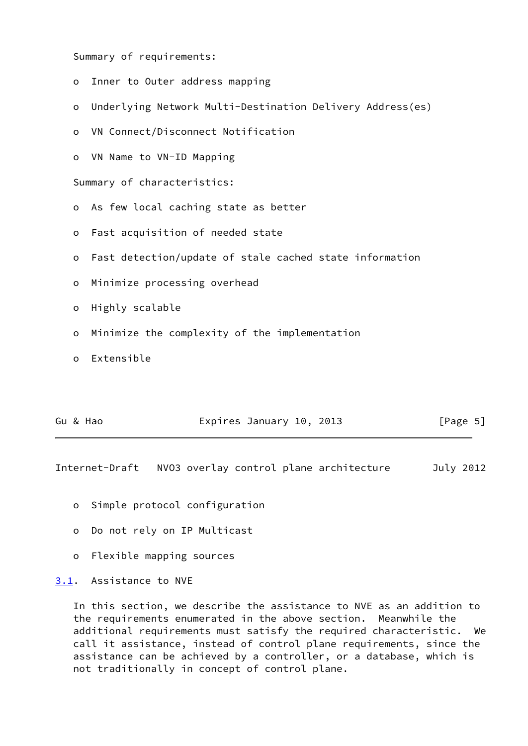Summary of requirements:

| $\circ$  | Inner to Outer address mapping                            |
|----------|-----------------------------------------------------------|
| $\circ$  | Underlying Network Multi-Destination Delivery Address(es) |
| $\circ$  | VN Connect/Disconnect Notification                        |
|          | o VN Name to VN-ID Mapping                                |
|          | Summary of characteristics:                               |
|          | o As few local caching state as better                    |
| $\circ$  | Fast acquisition of needed state                          |
| $\circ$  | Fast detection/update of stale cached state information   |
| $\circ$  | Minimize processing overhead                              |
| $\circ$  | Highly scalable                                           |
| $\circ$  | Minimize the complexity of the implementation             |
| $\Omega$ | Extensible                                                |
|          |                                                           |

|  | Gu & Hao | Expires January 10, 2013 |  |  |  | [Page 5] |  |
|--|----------|--------------------------|--|--|--|----------|--|
|--|----------|--------------------------|--|--|--|----------|--|

<span id="page-5-1"></span>Internet-Draft NVO3 overlay control plane architecture July 2012

- o Simple protocol configuration
- o Do not rely on IP Multicast
- o Flexible mapping sources

## <span id="page-5-0"></span>[3.1](#page-5-0). Assistance to NVE

 In this section, we describe the assistance to NVE as an addition to the requirements enumerated in the above section. Meanwhile the additional requirements must satisfy the required characteristic. We call it assistance, instead of control plane requirements, since the assistance can be achieved by a controller, or a database, which is not traditionally in concept of control plane.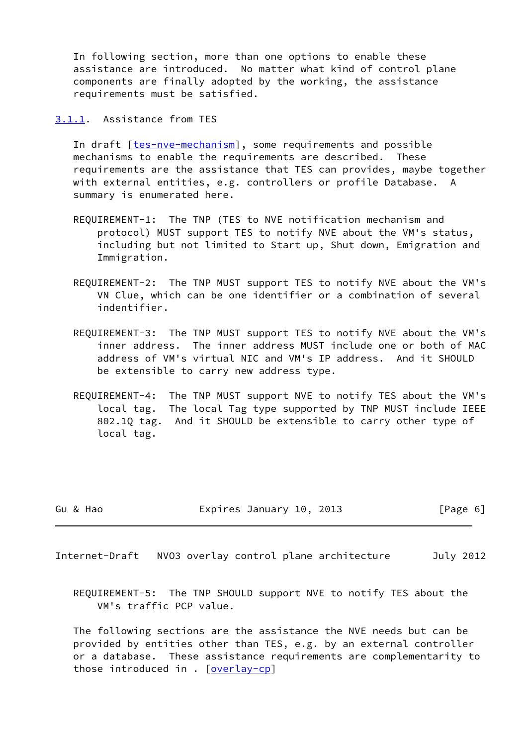In following section, more than one options to enable these assistance are introduced. No matter what kind of control plane components are finally adopted by the working, the assistance requirements must be satisfied.

<span id="page-6-0"></span>[3.1.1](#page-6-0). Assistance from TES

In draft [\[tes-nve-mechanism\]](#page-15-2), some requirements and possible mechanisms to enable the requirements are described. These requirements are the assistance that TES can provides, maybe together with external entities, e.g. controllers or profile Database. A summary is enumerated here.

- REQUIREMENT-1: The TNP (TES to NVE notification mechanism and protocol) MUST support TES to notify NVE about the VM's status, including but not limited to Start up, Shut down, Emigration and Immigration.
- REQUIREMENT-2: The TNP MUST support TES to notify NVE about the VM's VN Clue, which can be one identifier or a combination of several indentifier.
- REQUIREMENT-3: The TNP MUST support TES to notify NVE about the VM's inner address. The inner address MUST include one or both of MAC address of VM's virtual NIC and VM's IP address. And it SHOULD be extensible to carry new address type.
- REQUIREMENT-4: The TNP MUST support NVE to notify TES about the VM's local tag. The local Tag type supported by TNP MUST include IEEE 802.1Q tag. And it SHOULD be extensible to carry other type of local tag.

Gu & Hao **Expires January 10, 2013** [Page 6]

<span id="page-6-1"></span>Internet-Draft NVO3 overlay control plane architecture July 2012

 REQUIREMENT-5: The TNP SHOULD support NVE to notify TES about the VM's traffic PCP value.

 The following sections are the assistance the NVE needs but can be provided by entities other than TES, e.g. by an external controller or a database. These assistance requirements are complementarity to those introduced in . [[overlay-cp\]](#page-15-0)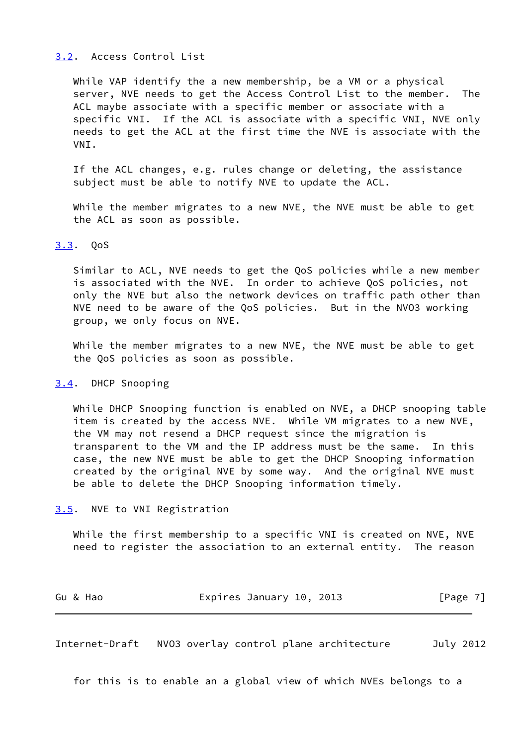#### <span id="page-7-0"></span>[3.2](#page-7-0). Access Control List

 While VAP identify the a new membership, be a VM or a physical server, NVE needs to get the Access Control List to the member. The ACL maybe associate with a specific member or associate with a specific VNI. If the ACL is associate with a specific VNI, NVE only needs to get the ACL at the first time the NVE is associate with the VNI.

 If the ACL changes, e.g. rules change or deleting, the assistance subject must be able to notify NVE to update the ACL.

 While the member migrates to a new NVE, the NVE must be able to get the ACL as soon as possible.

## <span id="page-7-1"></span>[3.3](#page-7-1). QoS

 Similar to ACL, NVE needs to get the QoS policies while a new member is associated with the NVE. In order to achieve QoS policies, not only the NVE but also the network devices on traffic path other than NVE need to be aware of the QoS policies. But in the NVO3 working group, we only focus on NVE.

 While the member migrates to a new NVE, the NVE must be able to get the QoS policies as soon as possible.

#### <span id="page-7-2"></span>[3.4](#page-7-2). DHCP Snooping

 While DHCP Snooping function is enabled on NVE, a DHCP snooping table item is created by the access NVE. While VM migrates to a new NVE, the VM may not resend a DHCP request since the migration is transparent to the VM and the IP address must be the same. In this case, the new NVE must be able to get the DHCP Snooping information created by the original NVE by some way. And the original NVE must be able to delete the DHCP Snooping information timely.

#### <span id="page-7-3"></span>[3.5](#page-7-3). NVE to VNI Registration

 While the first membership to a specific VNI is created on NVE, NVE need to register the association to an external entity. The reason

| Expires January 10, 2013<br>Gu & Hao | [Page 7] |
|--------------------------------------|----------|
|--------------------------------------|----------|

<span id="page-7-4"></span>Internet-Draft NVO3 overlay control plane architecture July 2012

for this is to enable an a global view of which NVEs belongs to a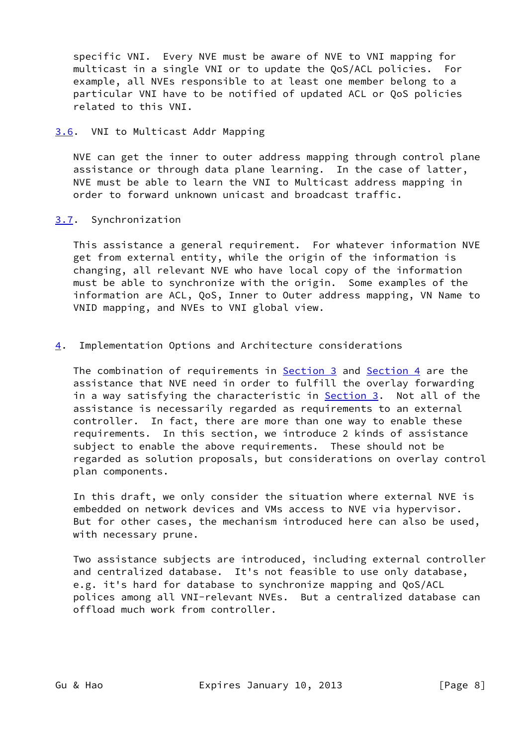specific VNI. Every NVE must be aware of NVE to VNI mapping for multicast in a single VNI or to update the QoS/ACL policies. For example, all NVEs responsible to at least one member belong to a particular VNI have to be notified of updated ACL or QoS policies related to this VNI.

### <span id="page-8-0"></span>[3.6](#page-8-0). VNI to Multicast Addr Mapping

 NVE can get the inner to outer address mapping through control plane assistance or through data plane learning. In the case of latter, NVE must be able to learn the VNI to Multicast address mapping in order to forward unknown unicast and broadcast traffic.

## <span id="page-8-1"></span>[3.7](#page-8-1). Synchronization

 This assistance a general requirement. For whatever information NVE get from external entity, while the origin of the information is changing, all relevant NVE who have local copy of the information must be able to synchronize with the origin. Some examples of the information are ACL, QoS, Inner to Outer address mapping, VN Name to VNID mapping, and NVEs to VNI global view.

## <span id="page-8-2"></span>[4](#page-8-2). Implementation Options and Architecture considerations

The combination of requirements in **Section 3** and **Section 4** are the assistance that NVE need in order to fulfill the overlay forwarding in a way satisfying the characteristic in **Section 3.** Not all of the assistance is necessarily regarded as requirements to an external controller. In fact, there are more than one way to enable these requirements. In this section, we introduce 2 kinds of assistance subject to enable the above requirements. These should not be regarded as solution proposals, but considerations on overlay control plan components.

 In this draft, we only consider the situation where external NVE is embedded on network devices and VMs access to NVE via hypervisor. But for other cases, the mechanism introduced here can also be used, with necessary prune.

 Two assistance subjects are introduced, including external controller and centralized database. It's not feasible to use only database, e.g. it's hard for database to synchronize mapping and QoS/ACL polices among all VNI-relevant NVEs. But a centralized database can offload much work from controller.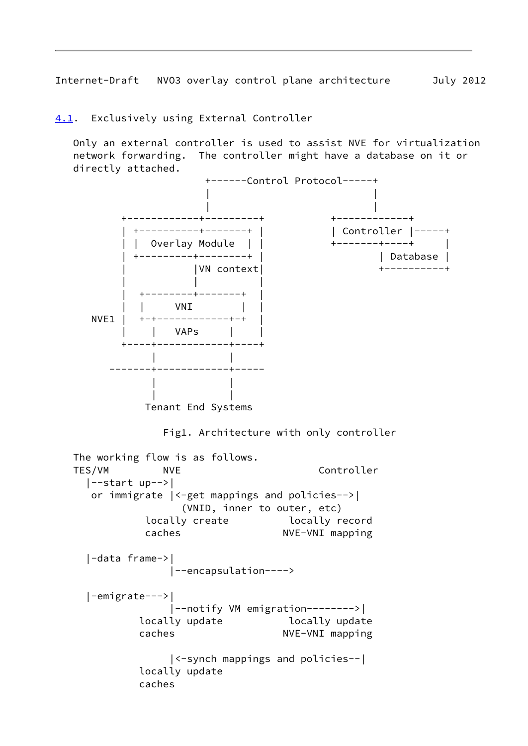<span id="page-9-1"></span>Internet-Draft NVO3 overlay control plane architecture July 2012

<span id="page-9-0"></span>[4.1](#page-9-0). Exclusively using External Controller

 Only an external controller is used to assist NVE for virtualization network forwarding. The controller might have a database on it or directly attached.

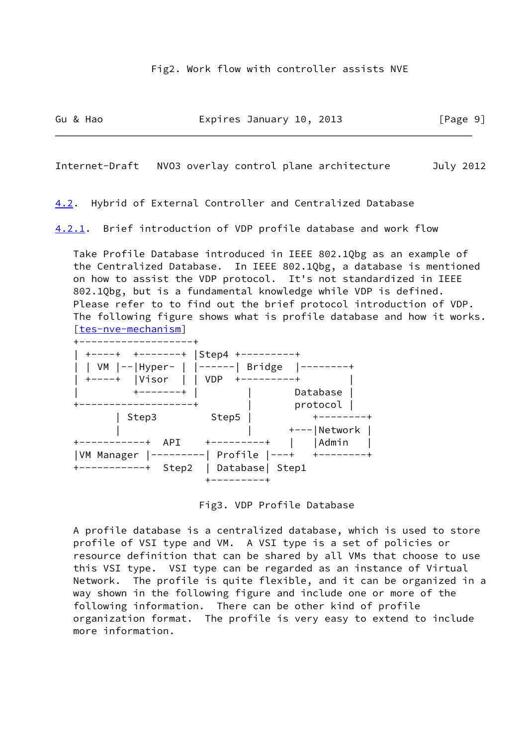Gu & Hao **Expires January 10, 2013** [Page 9]

<span id="page-10-1"></span>Internet-Draft NVO3 overlay control plane architecture July 2012

<span id="page-10-0"></span>[4.2](#page-10-0). Hybrid of External Controller and Centralized Database

<span id="page-10-2"></span>[4.2.1](#page-10-2). Brief introduction of VDP profile database and work flow

 Take Profile Database introduced in IEEE 802.1Qbg as an example of the Centralized Database. In IEEE 802.1Qbg, a database is mentioned on how to assist the VDP protocol. It's not standardized in IEEE 802.1Qbg, but is a fundamental knowledge while VDP is defined. Please refer to to find out the brief protocol introduction of VDP. The following figure shows what is profile database and how it works. [\[tes-nve-mechanism](#page-15-2)]

| +-------+            | Step4      |                  |
|----------------------|------------|------------------|
|                      |            | <b>Bridge</b>    |
| Visor<br>$+ - - - +$ | <b>VDP</b> |                  |
|                      |            | Database         |
|                      |            | protocol         |
| Step3                | Step5      |                  |
|                      |            | $+--- Network$   |
| API                  |            | Admin            |
| VM Manager           |            | Profile $ ---+$  |
| Step2                |            | Database   Step1 |
|                      |            |                  |

Fig3. VDP Profile Database

 A profile database is a centralized database, which is used to store profile of VSI type and VM. A VSI type is a set of policies or resource definition that can be shared by all VMs that choose to use this VSI type. VSI type can be regarded as an instance of Virtual Network. The profile is quite flexible, and it can be organized in a way shown in the following figure and include one or more of the following information. There can be other kind of profile organization format. The profile is very easy to extend to include more information.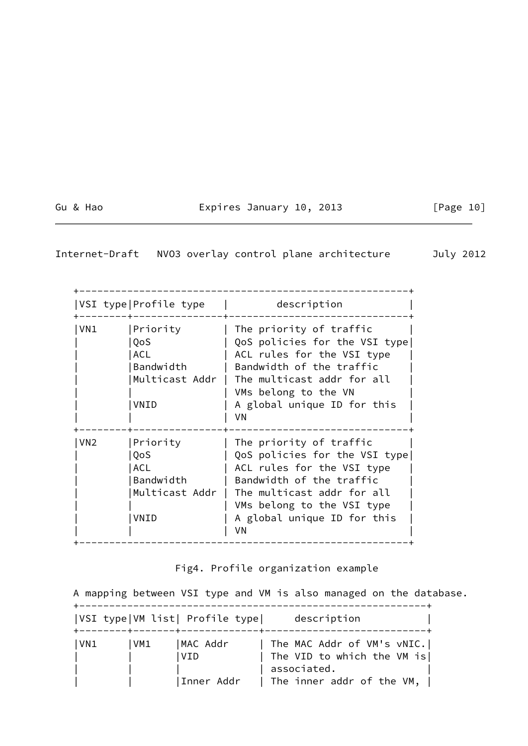# Gu & Hao **Expires January 10, 2013** [Page 10]

# Internet-Draft NVO3 overlay control plane architecture July 2012

| VSI type Profile type |                                             | description                                                                                                                                                                                                              |  |  |
|-----------------------|---------------------------------------------|--------------------------------------------------------------------------------------------------------------------------------------------------------------------------------------------------------------------------|--|--|
| VN1                   | Priority<br>QoS<br>ACL<br>Bandwidth<br>VNID | The priority of traffic<br>QoS policies for the VSI type<br>ACL rules for the VSI type<br>Bandwidth of the traffic<br>Multicast Addr   The multicast addr for all<br>VMs belong to the VN<br>A global unique ID for this |  |  |
| VN <sub>2</sub>       | Priority<br>QoS<br><b>ACL</b>               | VN<br>The priority of traffic<br>QoS policies for the VSI type<br>ACL rules for the VSI type                                                                                                                             |  |  |
|                       | Bandwidth<br>Multicast Addr<br>VNID         | Bandwidth of the traffic<br>The multicast addr for all<br>VMs belong to the VSI type<br>A global unique ID for this<br>VN                                                                                                |  |  |

# Fig4. Profile organization example

 A mapping between VSI type and VM is also managed on the database. +----------------------------------------------------------+

|     |      | VSI type VM list  Profile type | description                                                |
|-----|------|--------------------------------|------------------------------------------------------------|
| VN1 | lVM1 | MAC Addr<br>l V I D            | The MAC Addr of VM's vNIC.<br>  The VID to which the VM is |
|     |      | Inner Addr                     | associated.<br>  The inner addr of the VM,                 |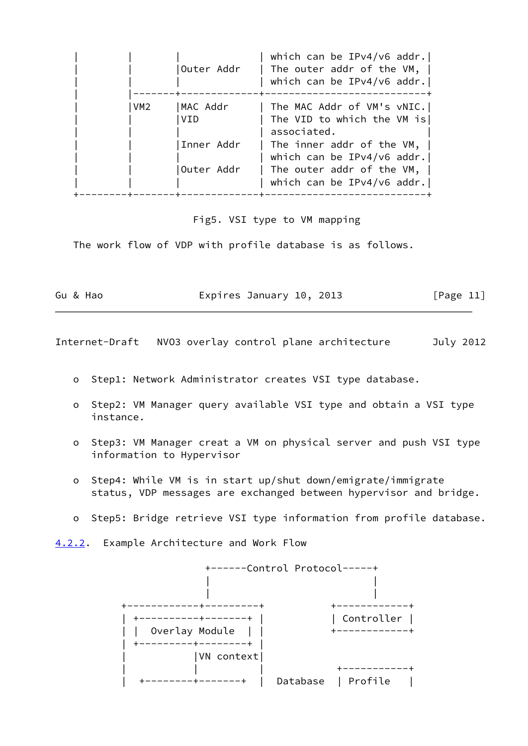|                 | Outer Addr                                  | which can be IPv4/v6 addr.<br>The outer addr of the $VM, \perp$<br>which can be IPv4/v6 addr.                                                                                                             |
|-----------------|---------------------------------------------|-----------------------------------------------------------------------------------------------------------------------------------------------------------------------------------------------------------|
| VM <sub>2</sub> | MAC Addr<br>VTD<br>Inner Addr<br>Outer Addr | The MAC Addr of VM's vNIC.<br>The VID to which the VM is<br>associated.<br>The inner addr of the $VM, \perp$<br>which can be IPv4/v6 addr.<br>The outer addr of the VM, $ $<br>which can be IPv4/v6 addr. |

Fig5. VSI type to VM mapping

The work flow of VDP with profile database is as follows.

Gu & Hao **Expires January 10, 2013** [Page 11]

<span id="page-12-1"></span>Internet-Draft NVO3 overlay control plane architecture July 2012

- o Step1: Network Administrator creates VSI type database.
- o Step2: VM Manager query available VSI type and obtain a VSI type instance.
- o Step3: VM Manager creat a VM on physical server and push VSI type information to Hypervisor
- o Step4: While VM is in start up/shut down/emigrate/immigrate status, VDP messages are exchanged between hypervisor and bridge.
- o Step5: Bridge retrieve VSI type information from profile database.
- <span id="page-12-0"></span>[4.2.2](#page-12-0). Example Architecture and Work Flow

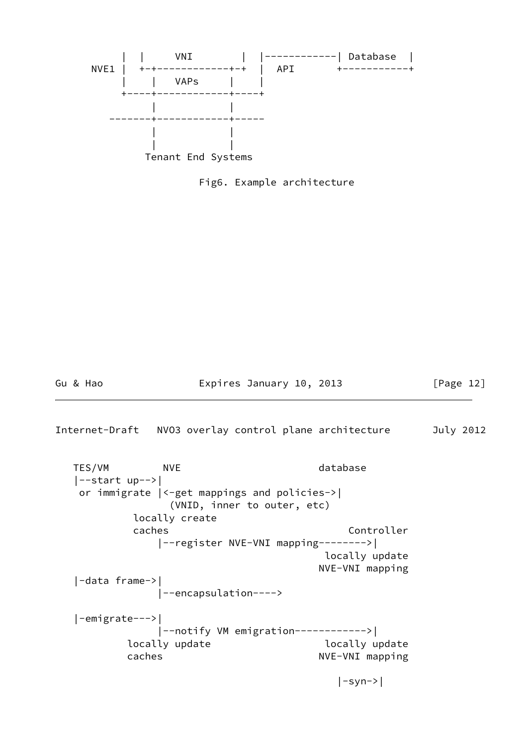

Fig6. Example architecture

Gu & Hao **Expires January 10, 2013** [Page 12]

<span id="page-13-0"></span>Internet-Draft NVO3 overlay control plane architecture July 2012

TES/VM NVE NOTE database |--start up-->| or immigrate |<-get mappings and policies->| (VNID, inner to outer, etc) locally create caches **Controller**  |--register NVE-VNI mapping-------->| locally update NVE-VNI mapping |-data frame->| |--encapsulation----> |-emigrate--->| |--notify VM emigration------------>| locally update and locally update caches NVE-VNI mapping |-syn->|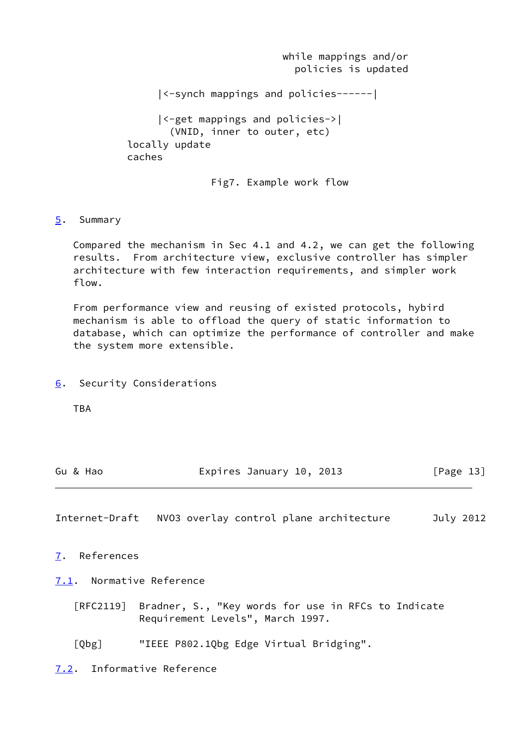while mappings and/or policies is updated |<-synch mappings and policies------| |<-get mappings and policies->| (VNID, inner to outer, etc) locally update caches

Fig7. Example work flow

## <span id="page-14-0"></span>[5](#page-14-0). Summary

 Compared the mechanism in Sec 4.1 and 4.2, we can get the following results. From architecture view, exclusive controller has simpler architecture with few interaction requirements, and simpler work flow.

 From performance view and reusing of existed protocols, hybird mechanism is able to offload the query of static information to database, which can optimize the performance of controller and make the system more extensible.

<span id="page-14-1"></span>[6](#page-14-1). Security Considerations

TBA

| Gu & Hao | Expires January 10, 2013 | [Page 13] |
|----------|--------------------------|-----------|
|----------|--------------------------|-----------|

<span id="page-14-3"></span>Internet-Draft NVO3 overlay control plane architecture July 2012

<span id="page-14-2"></span>[7](#page-14-2). References

<span id="page-14-4"></span>[7.1](#page-14-4). Normative Reference

 [RFC2119] Bradner, S., "Key words for use in RFCs to Indicate Requirement Levels", March 1997.

<span id="page-14-6"></span>[Qbg] "IEEE P802.1Qbg Edge Virtual Bridging".

<span id="page-14-5"></span>[7.2](#page-14-5). Informative Reference